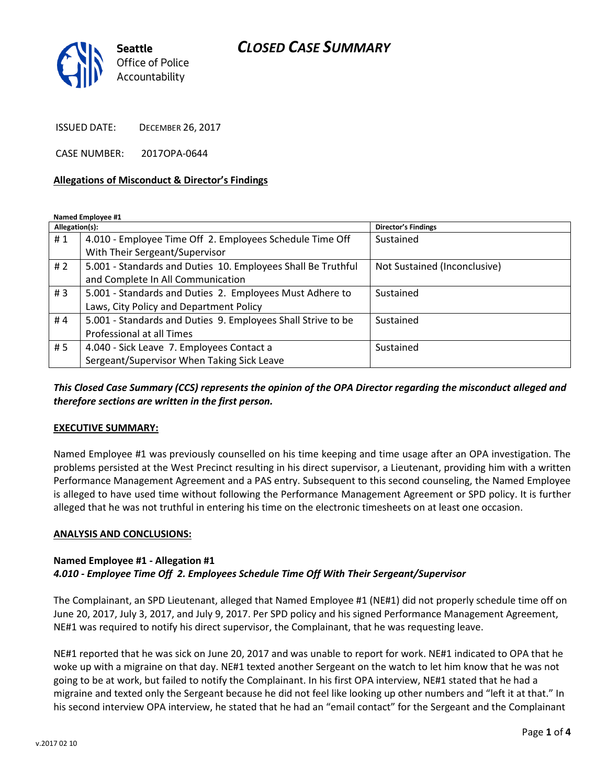# *CLOSED CASE SUMMARY*



ISSUED DATE: DECEMBER 26, 2017

CASE NUMBER: 2017OPA-0644

#### **Allegations of Misconduct & Director's Findings**

**Named Employee #1**

| Allegation(s): |                                                              | <b>Director's Findings</b>   |
|----------------|--------------------------------------------------------------|------------------------------|
| #1             | 4.010 - Employee Time Off 2. Employees Schedule Time Off     | Sustained                    |
|                | With Their Sergeant/Supervisor                               |                              |
| #2             | 5.001 - Standards and Duties 10. Employees Shall Be Truthful | Not Sustained (Inconclusive) |
|                | and Complete In All Communication                            |                              |
| #3             | 5.001 - Standards and Duties 2. Employees Must Adhere to     | Sustained                    |
|                | Laws, City Policy and Department Policy                      |                              |
| #4             | 5.001 - Standards and Duties 9. Employees Shall Strive to be | Sustained                    |
|                | Professional at all Times                                    |                              |
| # 5            | 4.040 - Sick Leave 7. Employees Contact a                    | Sustained                    |
|                | Sergeant/Supervisor When Taking Sick Leave                   |                              |

*This Closed Case Summary (CCS) represents the opinion of the OPA Director regarding the misconduct alleged and therefore sections are written in the first person.* 

## **EXECUTIVE SUMMARY:**

Named Employee #1 was previously counselled on his time keeping and time usage after an OPA investigation. The problems persisted at the West Precinct resulting in his direct supervisor, a Lieutenant, providing him with a written Performance Management Agreement and a PAS entry. Subsequent to this second counseling, the Named Employee is alleged to have used time without following the Performance Management Agreement or SPD policy. It is further alleged that he was not truthful in entering his time on the electronic timesheets on at least one occasion.

#### **ANALYSIS AND CONCLUSIONS:**

## **Named Employee #1 - Allegation #1**

*4.010 - Employee Time Off 2. Employees Schedule Time Off With Their Sergeant/Supervisor*

The Complainant, an SPD Lieutenant, alleged that Named Employee #1 (NE#1) did not properly schedule time off on June 20, 2017, July 3, 2017, and July 9, 2017. Per SPD policy and his signed Performance Management Agreement, NE#1 was required to notify his direct supervisor, the Complainant, that he was requesting leave.

NE#1 reported that he was sick on June 20, 2017 and was unable to report for work. NE#1 indicated to OPA that he woke up with a migraine on that day. NE#1 texted another Sergeant on the watch to let him know that he was not going to be at work, but failed to notify the Complainant. In his first OPA interview, NE#1 stated that he had a migraine and texted only the Sergeant because he did not feel like looking up other numbers and "left it at that." In his second interview OPA interview, he stated that he had an "email contact" for the Sergeant and the Complainant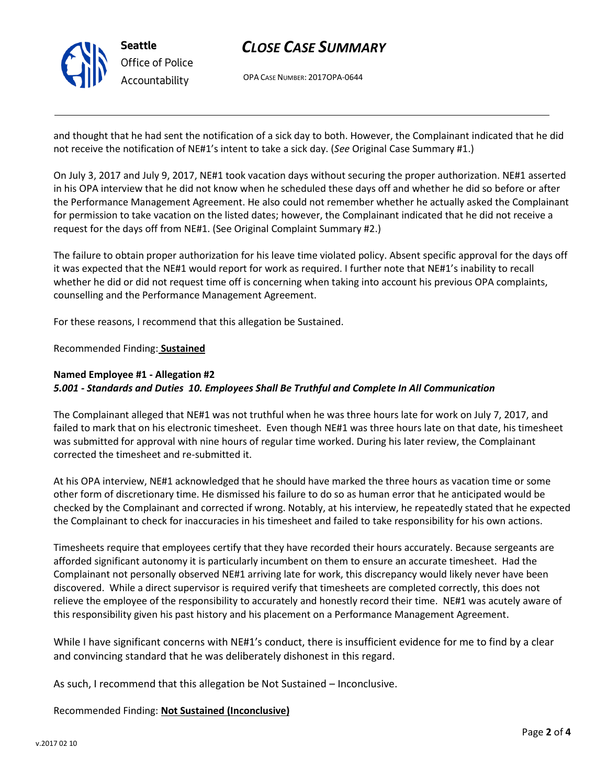

# *CLOSE CASE SUMMARY*

OPA CASE NUMBER: 2017OPA-0644

and thought that he had sent the notification of a sick day to both. However, the Complainant indicated that he did not receive the notification of NE#1's intent to take a sick day. (*See* Original Case Summary #1.)

On July 3, 2017 and July 9, 2017, NE#1 took vacation days without securing the proper authorization. NE#1 asserted in his OPA interview that he did not know when he scheduled these days off and whether he did so before or after the Performance Management Agreement. He also could not remember whether he actually asked the Complainant for permission to take vacation on the listed dates; however, the Complainant indicated that he did not receive a request for the days off from NE#1. (See Original Complaint Summary #2.)

The failure to obtain proper authorization for his leave time violated policy. Absent specific approval for the days off it was expected that the NE#1 would report for work as required. I further note that NE#1's inability to recall whether he did or did not request time off is concerning when taking into account his previous OPA complaints, counselling and the Performance Management Agreement.

For these reasons, I recommend that this allegation be Sustained.

Recommended Finding: **Sustained**

# **Named Employee #1 - Allegation #2** *5.001 - Standards and Duties 10. Employees Shall Be Truthful and Complete In All Communication*

The Complainant alleged that NE#1 was not truthful when he was three hours late for work on July 7, 2017, and failed to mark that on his electronic timesheet. Even though NE#1 was three hours late on that date, his timesheet was submitted for approval with nine hours of regular time worked. During his later review, the Complainant corrected the timesheet and re-submitted it.

At his OPA interview, NE#1 acknowledged that he should have marked the three hours as vacation time or some other form of discretionary time. He dismissed his failure to do so as human error that he anticipated would be checked by the Complainant and corrected if wrong. Notably, at his interview, he repeatedly stated that he expected the Complainant to check for inaccuracies in his timesheet and failed to take responsibility for his own actions.

Timesheets require that employees certify that they have recorded their hours accurately. Because sergeants are afforded significant autonomy it is particularly incumbent on them to ensure an accurate timesheet. Had the Complainant not personally observed NE#1 arriving late for work, this discrepancy would likely never have been discovered. While a direct supervisor is required verify that timesheets are completed correctly, this does not relieve the employee of the responsibility to accurately and honestly record their time. NE#1 was acutely aware of this responsibility given his past history and his placement on a Performance Management Agreement.

While I have significant concerns with NE#1's conduct, there is insufficient evidence for me to find by a clear and convincing standard that he was deliberately dishonest in this regard.

As such, I recommend that this allegation be Not Sustained – Inconclusive.

Recommended Finding: **Not Sustained (Inconclusive)**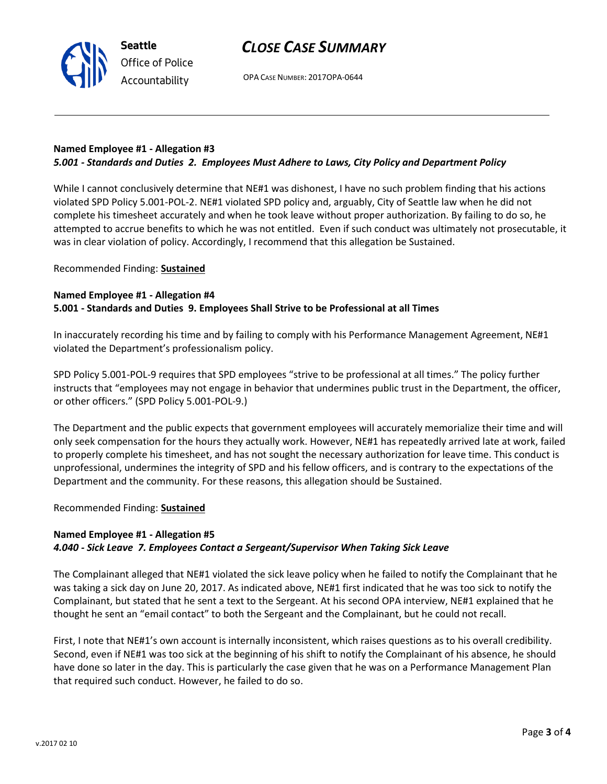OPA CASE NUMBER: 2017OPA-0644

# **Named Employee #1 - Allegation #3** *5.001 - Standards and Duties 2. Employees Must Adhere to Laws, City Policy and Department Policy*

While I cannot conclusively determine that NE#1 was dishonest, I have no such problem finding that his actions violated SPD Policy 5.001-POL-2. NE#1 violated SPD policy and, arguably, City of Seattle law when he did not complete his timesheet accurately and when he took leave without proper authorization. By failing to do so, he attempted to accrue benefits to which he was not entitled. Even if such conduct was ultimately not prosecutable, it was in clear violation of policy. Accordingly, I recommend that this allegation be Sustained.

## Recommended Finding: **Sustained**

## **Named Employee #1 - Allegation #4**

**Seattle**

*Office of Police Accountability*

## **5.001 - Standards and Duties 9. Employees Shall Strive to be Professional at all Times**

In inaccurately recording his time and by failing to comply with his Performance Management Agreement, NE#1 violated the Department's professionalism policy.

SPD Policy 5.001-POL-9 requires that SPD employees "strive to be professional at all times." The policy further instructs that "employees may not engage in behavior that undermines public trust in the Department, the officer, or other officers." (SPD Policy 5.001-POL-9.)

The Department and the public expects that government employees will accurately memorialize their time and will only seek compensation for the hours they actually work. However, NE#1 has repeatedly arrived late at work, failed to properly complete his timesheet, and has not sought the necessary authorization for leave time. This conduct is unprofessional, undermines the integrity of SPD and his fellow officers, and is contrary to the expectations of the Department and the community. For these reasons, this allegation should be Sustained.

Recommended Finding: **Sustained**

# **Named Employee #1 - Allegation #5** *4.040 - Sick Leave 7. Employees Contact a Sergeant/Supervisor When Taking Sick Leave*

The Complainant alleged that NE#1 violated the sick leave policy when he failed to notify the Complainant that he was taking a sick day on June 20, 2017. As indicated above, NE#1 first indicated that he was too sick to notify the Complainant, but stated that he sent a text to the Sergeant. At his second OPA interview, NE#1 explained that he thought he sent an "email contact" to both the Sergeant and the Complainant, but he could not recall.

First, I note that NE#1's own account is internally inconsistent, which raises questions as to his overall credibility. Second, even if NE#1 was too sick at the beginning of his shift to notify the Complainant of his absence, he should have done so later in the day. This is particularly the case given that he was on a Performance Management Plan that required such conduct. However, he failed to do so.